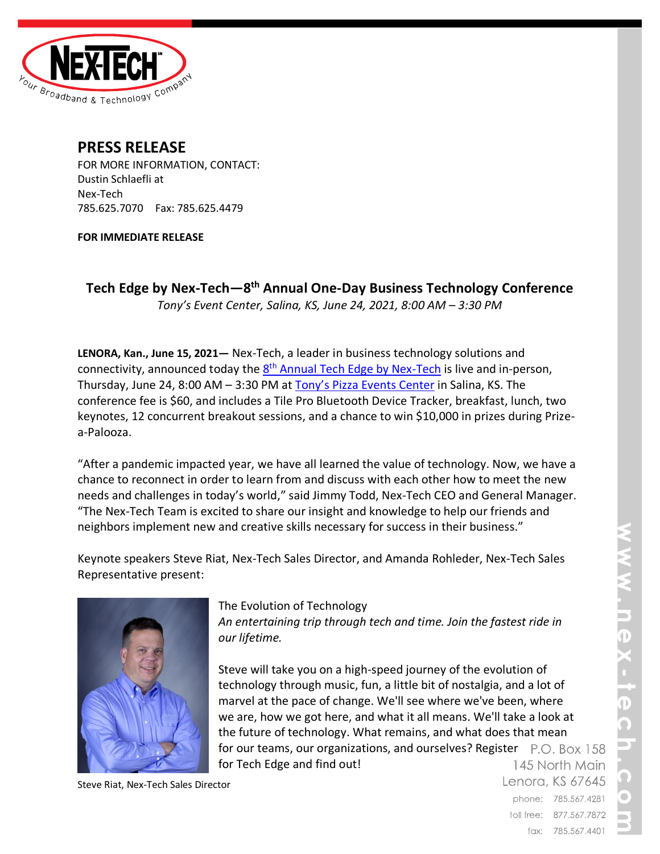

## **PRESS RELEASE**

FOR MORE INFORMATION, CONTACT: Dustin Schlaefli at Nex-Tech 785.625.7070 Fax: 785.625.4479

**FOR IMMEDIATE RELEASE**

**Tech Edge by Nex-Tech—8 th Annual One-Day Business Technology Conference**

*Tony's Event Center, Salina, KS, June 24, 2021, 8:00 AM – 3:30 PM*

**LENORA, Kan., June 15, 2021—** Nex-Tech, a leader in business technology solutions and connectivity, announced today the  $8^{\text{th}}$  Annual Tech [Edge by Nex-Tech](https://www.eventbrite.com/e/tech-edge-2021-registration-151834143009?aff=TechEdgePage) is live and in-person, Thursday, June 24, 8:00 AM – 3:30 PM at [Tony's Pizza Events Center](http://www.tonyspizzaeventscenter.com/) in Salina, KS. The conference fee is \$60, and includes a Tile Pro Bluetooth Device Tracker, breakfast, lunch, two keynotes, 12 concurrent breakout sessions, and a chance to win \$10,000 in prizes during Prizea-Palooza.

"After a pandemic impacted year, we have all learned the value of technology. Now, we have a chance to reconnect in order to learn from and discuss with each other how to meet the new needs and challenges in today's world," said Jimmy Todd, Nex-Tech CEO and General Manager. "The Nex-Tech Team is excited to share our insight and knowledge to help our friends and neighbors implement new and creative skills necessary for success in their business."

Keynote speakers Steve Riat, Nex-Tech Sales Director, and Amanda Rohleder, Nex-Tech Sales Representative present:



Steve Riat, Nex-Tech Sales Director

## The Evolution of Technology *An entertaining trip through tech and time. Join the fastest ride in our lifetime.*

Steve will take you on a high-speed journey of the evolution of technology through music, fun, a little bit of nostalgia, and a lot of marvel at the pace of change. We'll see where we've been, where we are, how we got here, and what it all means. We'll take a look at the future of technology. What remains, and what does that mean for our teams, our organizations, and ourselves? Register  $P.O. Box 158$ for Tech Edge and find out! 145 North Main

Lenora, KS 67645 phone: 785.567.4281 toll free: 877.567.7872 fax: 785.567.4401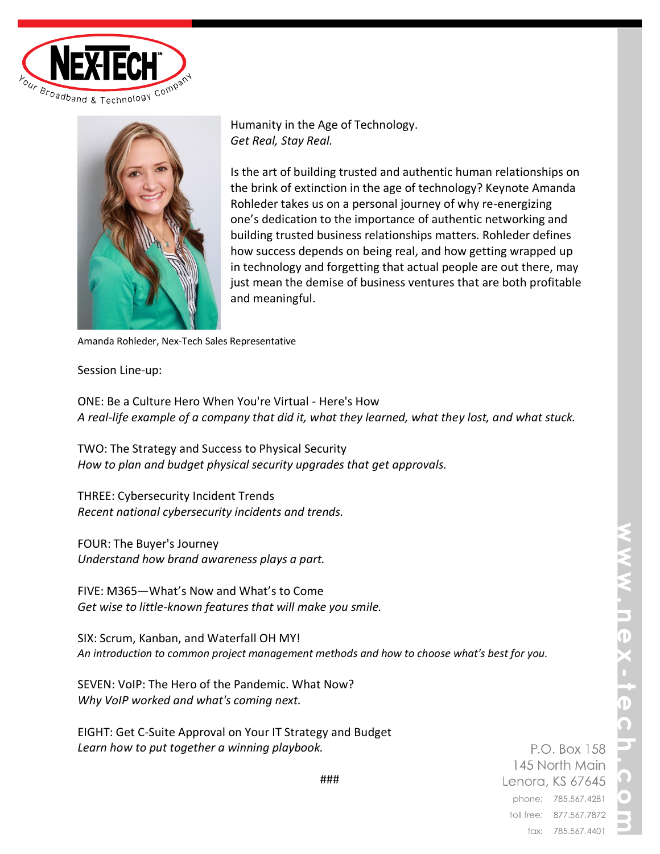



Humanity in the Age of Technology. *Get Real, Stay Real.* 

Is the art of building trusted and authentic human relationships on the brink of extinction in the age of technology? Keynote Amanda Rohleder takes us on a personal journey of why re-energizing one's dedication to the importance of authentic networking and building trusted business relationships matters. Rohleder defines how success depends on being real, and how getting wrapped up in technology and forgetting that actual people are out there, may just mean the demise of business ventures that are both profitable and meaningful.

Amanda Rohleder, Nex-Tech Sales Representative

Session Line-up:

ONE: Be a Culture Hero When You're Virtual - Here's How *A real-life example of a company that did it, what they learned, what they lost, and what stuck.*

TWO: The Strategy and Success to Physical Security *How to plan and budget physical security upgrades that get approvals.*

THREE: Cybersecurity Incident Trends *Recent national cybersecurity incidents and trends.*

FOUR: The Buyer's Journey *Understand how brand awareness plays a part.*

FIVE: M365—What's Now and What's to Come *Get wise to little-known features that will make you smile.*

SIX: Scrum, Kanban, and Waterfall OH MY! *An introduction to common project management methods and how to choose what's best for you.*

SEVEN: VoIP: The Hero of the Pandemic. What Now? *Why VoIP worked and what's coming next.*

EIGHT: Get C-Suite Approval on Your IT Strategy and Budget *Learn how to put together a winning playbook.*

P.O. Box 158 145 North Main Lenora, KS 67645 phone: 785.567.4281 toll free: 877.567.7872 fax: 785.567.4401

###